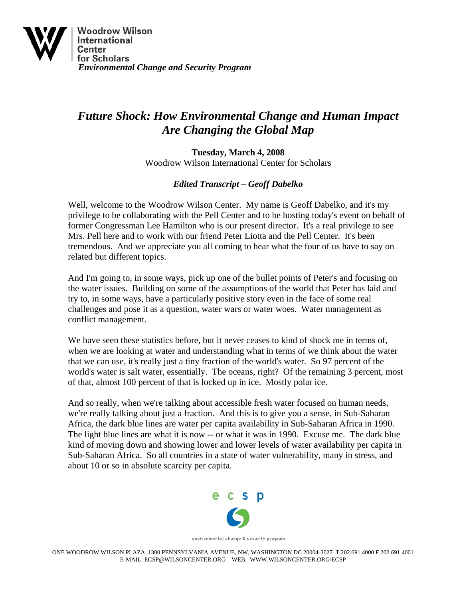

## *Future Shock: How Environmental Change and Human Impact Are Changing the Global Map*

**Tuesday, March 4, 2008**  Woodrow Wilson International Center for Scholars

## *Edited Transcript – Geoff Dabelko*

Well, welcome to the Woodrow Wilson Center. My name is Geoff Dabelko, and it's my privilege to be collaborating with the Pell Center and to be hosting today's event on behalf of former Congressman Lee Hamilton who is our present director. It's a real privilege to see Mrs. Pell here and to work with our friend Peter Liotta and the Pell Center. It's been tremendous. And we appreciate you all coming to hear what the four of us have to say on related but different topics.

And I'm going to, in some ways, pick up one of the bullet points of Peter's and focusing on the water issues. Building on some of the assumptions of the world that Peter has laid and try to, in some ways, have a particularly positive story even in the face of some real challenges and pose it as a question, water wars or water woes. Water management as conflict management.

We have seen these statistics before, but it never ceases to kind of shock me in terms of, when we are looking at water and understanding what in terms of we think about the water that we can use, it's really just a tiny fraction of the world's water. So 97 percent of the world's water is salt water, essentially. The oceans, right? Of the remaining 3 percent, most of that, almost 100 percent of that is locked up in ice. Mostly polar ice.

And so really, when we're talking about accessible fresh water focused on human needs, we're really talking about just a fraction. And this is to give you a sense, in Sub-Saharan Africa, the dark blue lines are water per capita availability in Sub-Saharan Africa in 1990. The light blue lines are what it is now -- or what it was in 1990. Excuse me. The dark blue kind of moving down and showing lower and lower levels of water availability per capita in Sub-Saharan Africa. So all countries in a state of water vulnerability, many in stress, and about 10 or so in absolute scarcity per capita.



environmental change & security program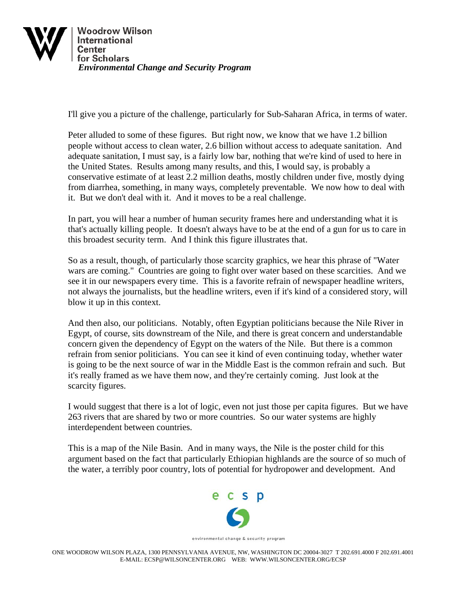

I'll give you a picture of the challenge, particularly for Sub-Saharan Africa, in terms of water.

Peter alluded to some of these figures. But right now, we know that we have 1.2 billion people without access to clean water, 2.6 billion without access to adequate sanitation. And adequate sanitation, I must say, is a fairly low bar, nothing that we're kind of used to here in the United States. Results among many results, and this, I would say, is probably a conservative estimate of at least 2.2 million deaths, mostly children under five, mostly dying from diarrhea, something, in many ways, completely preventable. We now how to deal with it. But we don't deal with it. And it moves to be a real challenge.

In part, you will hear a number of human security frames here and understanding what it is that's actually killing people. It doesn't always have to be at the end of a gun for us to care in this broadest security term. And I think this figure illustrates that.

So as a result, though, of particularly those scarcity graphics, we hear this phrase of "Water wars are coming." Countries are going to fight over water based on these scarcities. And we see it in our newspapers every time. This is a favorite refrain of newspaper headline writers, not always the journalists, but the headline writers, even if it's kind of a considered story, will blow it up in this context.

And then also, our politicians. Notably, often Egyptian politicians because the Nile River in Egypt, of course, sits downstream of the Nile, and there is great concern and understandable concern given the dependency of Egypt on the waters of the Nile. But there is a common refrain from senior politicians. You can see it kind of even continuing today, whether water is going to be the next source of war in the Middle East is the common refrain and such. But it's really framed as we have them now, and they're certainly coming. Just look at the scarcity figures.

I would suggest that there is a lot of logic, even not just those per capita figures. But we have 263 rivers that are shared by two or more countries. So our water systems are highly interdependent between countries.

This is a map of the Nile Basin. And in many ways, the Nile is the poster child for this argument based on the fact that particularly Ethiopian highlands are the source of so much of the water, a terribly poor country, lots of potential for hydropower and development. And



environmental change & security program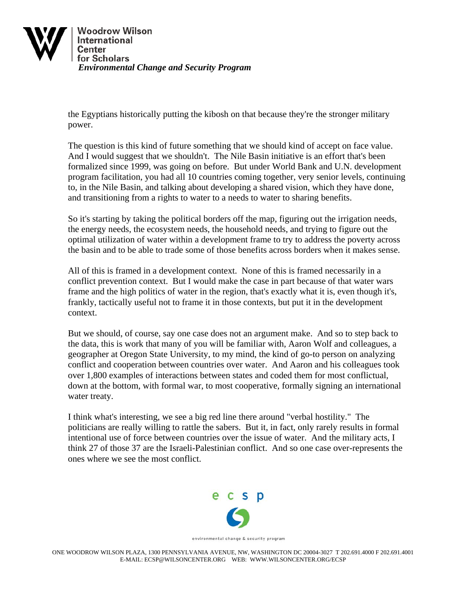

the Egyptians historically putting the kibosh on that because they're the stronger military power.

The question is this kind of future something that we should kind of accept on face value. And I would suggest that we shouldn't. The Nile Basin initiative is an effort that's been formalized since 1999, was going on before. But under World Bank and U.N. development program facilitation, you had all 10 countries coming together, very senior levels, continuing to, in the Nile Basin, and talking about developing a shared vision, which they have done, and transitioning from a rights to water to a needs to water to sharing benefits.

So it's starting by taking the political borders off the map, figuring out the irrigation needs, the energy needs, the ecosystem needs, the household needs, and trying to figure out the optimal utilization of water within a development frame to try to address the poverty across the basin and to be able to trade some of those benefits across borders when it makes sense.

All of this is framed in a development context. None of this is framed necessarily in a conflict prevention context. But I would make the case in part because of that water wars frame and the high politics of water in the region, that's exactly what it is, even though it's, frankly, tactically useful not to frame it in those contexts, but put it in the development context.

But we should, of course, say one case does not an argument make. And so to step back to the data, this is work that many of you will be familiar with, Aaron Wolf and colleagues, a geographer at Oregon State University, to my mind, the kind of go-to person on analyzing conflict and cooperation between countries over water. And Aaron and his colleagues took over 1,800 examples of interactions between states and coded them for most conflictual, down at the bottom, with formal war, to most cooperative, formally signing an international water treaty.

I think what's interesting, we see a big red line there around "verbal hostility." The politicians are really willing to rattle the sabers. But it, in fact, only rarely results in formal intentional use of force between countries over the issue of water. And the military acts, I think 27 of those 37 are the Israeli-Palestinian conflict. And so one case over-represents the ones where we see the most conflict.



environmental change & security program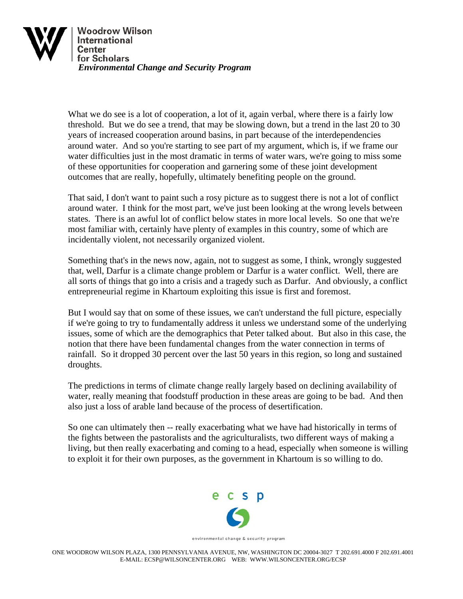

What we do see is a lot of cooperation, a lot of it, again verbal, where there is a fairly low threshold. But we do see a trend, that may be slowing down, but a trend in the last 20 to 30 years of increased cooperation around basins, in part because of the interdependencies around water. And so you're starting to see part of my argument, which is, if we frame our water difficulties just in the most dramatic in terms of water wars, we're going to miss some of these opportunities for cooperation and garnering some of these joint development outcomes that are really, hopefully, ultimately benefiting people on the ground.

That said, I don't want to paint such a rosy picture as to suggest there is not a lot of conflict around water. I think for the most part, we've just been looking at the wrong levels between states. There is an awful lot of conflict below states in more local levels. So one that we're most familiar with, certainly have plenty of examples in this country, some of which are incidentally violent, not necessarily organized violent.

Something that's in the news now, again, not to suggest as some, I think, wrongly suggested that, well, Darfur is a climate change problem or Darfur is a water conflict. Well, there are all sorts of things that go into a crisis and a tragedy such as Darfur. And obviously, a conflict entrepreneurial regime in Khartoum exploiting this issue is first and foremost.

But I would say that on some of these issues, we can't understand the full picture, especially if we're going to try to fundamentally address it unless we understand some of the underlying issues, some of which are the demographics that Peter talked about. But also in this case, the notion that there have been fundamental changes from the water connection in terms of rainfall. So it dropped 30 percent over the last 50 years in this region, so long and sustained droughts.

The predictions in terms of climate change really largely based on declining availability of water, really meaning that foodstuff production in these areas are going to be bad. And then also just a loss of arable land because of the process of desertification.

So one can ultimately then -- really exacerbating what we have had historically in terms of the fights between the pastoralists and the agriculturalists, two different ways of making a living, but then really exacerbating and coming to a head, especially when someone is willing to exploit it for their own purposes, as the government in Khartoum is so willing to do.



environmental change & security program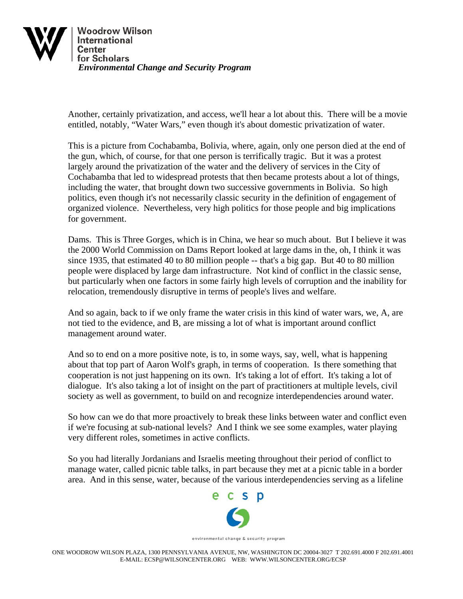

Another, certainly privatization, and access, we'll hear a lot about this. There will be a movie entitled, notably, "Water Wars," even though it's about domestic privatization of water.

This is a picture from Cochabamba, Bolivia, where, again, only one person died at the end of the gun, which, of course, for that one person is terrifically tragic. But it was a protest largely around the privatization of the water and the delivery of services in the City of Cochabamba that led to widespread protests that then became protests about a lot of things, including the water, that brought down two successive governments in Bolivia. So high politics, even though it's not necessarily classic security in the definition of engagement of organized violence. Nevertheless, very high politics for those people and big implications for government.

Dams. This is Three Gorges, which is in China, we hear so much about. But I believe it was the 2000 World Commission on Dams Report looked at large dams in the, oh, I think it was since 1935, that estimated 40 to 80 million people -- that's a big gap. But 40 to 80 million people were displaced by large dam infrastructure. Not kind of conflict in the classic sense, but particularly when one factors in some fairly high levels of corruption and the inability for relocation, tremendously disruptive in terms of people's lives and welfare.

And so again, back to if we only frame the water crisis in this kind of water wars, we, A, are not tied to the evidence, and B, are missing a lot of what is important around conflict management around water.

And so to end on a more positive note, is to, in some ways, say, well, what is happening about that top part of Aaron Wolf's graph, in terms of cooperation. Is there something that cooperation is not just happening on its own. It's taking a lot of effort. It's taking a lot of dialogue. It's also taking a lot of insight on the part of practitioners at multiple levels, civil society as well as government, to build on and recognize interdependencies around water.

So how can we do that more proactively to break these links between water and conflict even if we're focusing at sub-national levels? And I think we see some examples, water playing very different roles, sometimes in active conflicts.

So you had literally Jordanians and Israelis meeting throughout their period of conflict to manage water, called picnic table talks, in part because they met at a picnic table in a border area. And in this sense, water, because of the various interdependencies serving as a lifeline

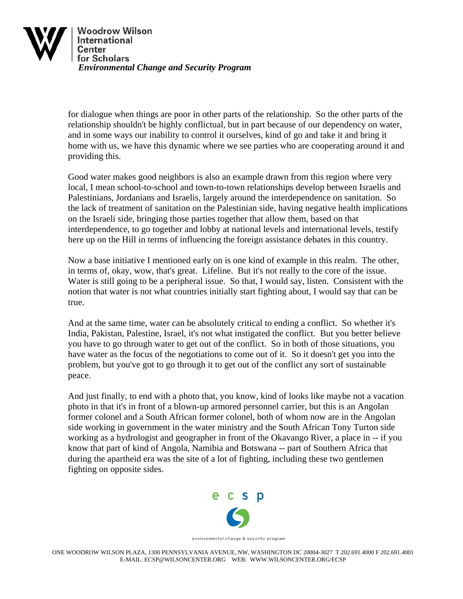

for dialogue when things are poor in other parts of the relationship. So the other parts of the relationship shouldn't be highly conflictual, but in part because of our dependency on water, and in some ways our inability to control it ourselves, kind of go and take it and bring it home with us, we have this dynamic where we see parties who are cooperating around it and providing this.

Good water makes good neighbors is also an example drawn from this region where very local, I mean school-to-school and town-to-town relationships develop between Israelis and Palestinians, Jordanians and Israelis, largely around the interdependence on sanitation. So the lack of treatment of sanitation on the Palestinian side, having negative health implications on the Israeli side, bringing those parties together that allow them, based on that interdependence, to go together and lobby at national levels and international levels, testify here up on the Hill in terms of influencing the foreign assistance debates in this country.

Now a base initiative I mentioned early on is one kind of example in this realm. The other, in terms of, okay, wow, that's great. Lifeline. But it's not really to the core of the issue. Water is still going to be a peripheral issue. So that, I would say, listen. Consistent with the notion that water is not what countries initially start fighting about, I would say that can be true.

And at the same time, water can be absolutely critical to ending a conflict. So whether it's India, Pakistan, Palestine, Israel, it's not what instigated the conflict. But you better believe you have to go through water to get out of the conflict. So in both of those situations, you have water as the focus of the negotiations to come out of it. So it doesn't get you into the problem, but you've got to go through it to get out of the conflict any sort of sustainable peace.

And just finally, to end with a photo that, you know, kind of looks like maybe not a vacation photo in that it's in front of a blown-up armored personnel carrier, but this is an Angolan former colonel and a South African former colonel, both of whom now are in the Angolan side working in government in the water ministry and the South African Tony Turton side working as a hydrologist and geographer in front of the Okavango River, a place in -- if you know that part of kind of Angola, Namibia and Botswana -- part of Southern Africa that during the apartheid era was the site of a lot of fighting, including these two gentlemen fighting on opposite sides.



environmental change & security program